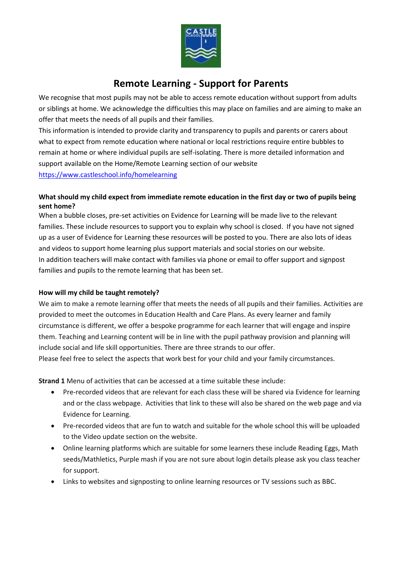

# **Remote Learning - Support for Parents**

We recognise that most pupils may not be able to access remote education without support from adults or siblings at home. We acknowledge the difficulties this may place on families and are aiming to make an offer that meets the needs of all pupils and their families.

This information is intended to provide clarity and transparency to pupils and parents or carers about what to expect from remote education where national or local restrictions require entire bubbles to remain at home or where individual pupils are self-isolating. There is more detailed information and support available on the Home/Remote Learning section of our website <https://www.castleschool.info/homelearning>

## **What should my child expect from immediate remote education in the first day or two of pupils being sent home?**

When a bubble closes, pre-set activities on Evidence for Learning will be made live to the relevant families. These include resources to support you to explain why school is closed. If you have not signed up as a user of Evidence for Learning these resources will be posted to you. There are also lots of ideas and videos to support home learning plus support materials and social stories on our website. In addition teachers will make contact with families via phone or email to offer support and signpost families and pupils to the remote learning that has been set.

## **How will my child be taught remotely?**

We aim to make a remote learning offer that meets the needs of all pupils and their families. Activities are provided to meet the outcomes in Education Health and Care Plans. As every learner and family circumstance is different, we offer a bespoke programme for each learner that will engage and inspire them. Teaching and Learning content will be in line with the pupil pathway provision and planning will include social and life skill opportunities. There are three strands to our offer.

Please feel free to select the aspects that work best for your child and your family circumstances.

**Strand 1** Menu of activities that can be accessed at a time suitable these include:

- Pre-recorded videos that are relevant for each class these will be shared via Evidence for learning and or the class webpage. Activities that link to these will also be shared on the web page and via Evidence for Learning.
- Pre-recorded videos that are fun to watch and suitable for the whole school this will be uploaded to the Video update section on the website.
- Online learning platforms which are suitable for some learners these include Reading Eggs, Math seeds/Mathletics, Purple mash if you are not sure about login details please ask you class teacher for support.
- Links to websites and signposting to online learning resources or TV sessions such as BBC.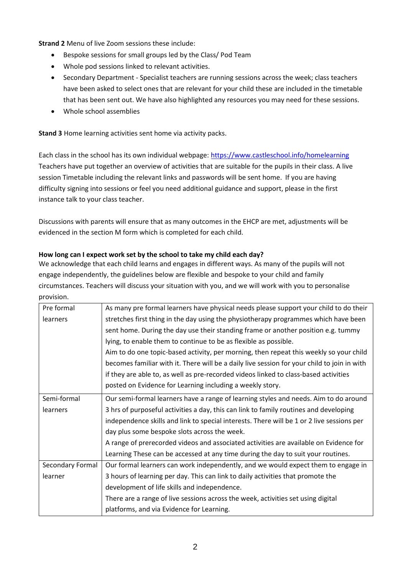**Strand 2** Menu of live Zoom sessions these include:

- Bespoke sessions for small groups led by the Class/ Pod Team
- Whole pod sessions linked to relevant activities.
- Secondary Department Specialist teachers are running sessions across the week; class teachers have been asked to select ones that are relevant for your child these are included in the timetable that has been sent out. We have also highlighted any resources you may need for these sessions.
- Whole school assemblies

**Stand 3** Home learning activities sent home via activity packs.

Each class in the school has its own individual webpage:<https://www.castleschool.info/homelearning> Teachers have put together an overview of activities that are suitable for the pupils in their class. A live session Timetable including the relevant links and passwords will be sent home. If you are having difficulty signing into sessions or feel you need additional guidance and support, please in the first instance talk to your class teacher.

Discussions with parents will ensure that as many outcomes in the EHCP are met, adjustments will be evidenced in the section M form which is completed for each child.

#### **How long can I expect work set by the school to take my child each day?**

We acknowledge that each child learns and engages in different ways. As many of the pupils will not engage independently, the guidelines below are flexible and bespoke to your child and family circumstances. Teachers will discuss your situation with you, and we will work with you to personalise provision.

| Pre formal       | As many pre formal learners have physical needs please support your child to do their       |
|------------------|---------------------------------------------------------------------------------------------|
| learners         | stretches first thing in the day using the physiotherapy programmes which have been         |
|                  | sent home. During the day use their standing frame or another position e.g. tummy           |
|                  | lying, to enable them to continue to be as flexible as possible.                            |
|                  | Aim to do one topic-based activity, per morning, then repeat this weekly so your child      |
|                  | becomes familiar with it. There will be a daily live session for your child to join in with |
|                  | if they are able to, as well as pre-recorded videos linked to class-based activities        |
|                  | posted on Evidence for Learning including a weekly story.                                   |
| Semi-formal      | Our semi-formal learners have a range of learning styles and needs. Aim to do around        |
| learners         | 3 hrs of purposeful activities a day, this can link to family routines and developing       |
|                  | independence skills and link to special interests. There will be 1 or 2 live sessions per   |
|                  | day plus some bespoke slots across the week.                                                |
|                  | A range of prerecorded videos and associated activities are available on Evidence for       |
|                  | Learning These can be accessed at any time during the day to suit your routines.            |
| Secondary Formal | Our formal learners can work independently, and we would expect them to engage in           |
| learner          | 3 hours of learning per day. This can link to daily activities that promote the             |
|                  | development of life skills and independence.                                                |
|                  | There are a range of live sessions across the week, activities set using digital            |
|                  | platforms, and via Evidence for Learning.                                                   |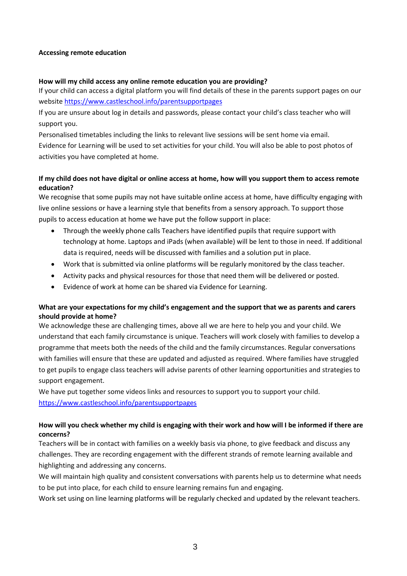#### **Accessing remote education**

#### **How will my child access any online remote education you are providing?**

If your child can access a digital platform you will find details of these in the parents support pages on our website<https://www.castleschool.info/parentsupportpages>

If you are unsure about log in details and passwords, please contact your child's class teacher who will support you.

Personalised timetables including the links to relevant live sessions will be sent home via email. Evidence for Learning will be used to set activities for your child. You will also be able to post photos of activities you have completed at home.

## **If my child does not have digital or online access at home, how will you support them to access remote education?**

We recognise that some pupils may not have suitable online access at home, have difficulty engaging with live online sessions or have a learning style that benefits from a sensory approach. To support those pupils to access education at home we have put the follow support in place:

- Through the weekly phone calls Teachers have identified pupils that require support with technology at home. Laptops and iPads (when available) will be lent to those in need. If additional data is required, needs will be discussed with families and a solution put in place.
- Work that is submitted via online platforms will be regularly monitored by the class teacher.
- Activity packs and physical resources for those that need them will be delivered or posted.
- Evidence of work at home can be shared via Evidence for Learning.

## **What are your expectations for my child's engagement and the support that we as parents and carers should provide at home?**

We acknowledge these are challenging times, above all we are here to help you and your child. We understand that each family circumstance is unique. Teachers will work closely with families to develop a programme that meets both the needs of the child and the family circumstances. Regular conversations with families will ensure that these are updated and adjusted as required. Where families have struggled to get pupils to engage class teachers will advise parents of other learning opportunities and strategies to support engagement.

We have put together some videos links and resources to support you to support your child. <https://www.castleschool.info/parentsupportpages>

## **How will you check whether my child is engaging with their work and how will I be informed if there are concerns?**

Teachers will be in contact with families on a weekly basis via phone, to give feedback and discuss any challenges. They are recording engagement with the different strands of remote learning available and highlighting and addressing any concerns.

We will maintain high quality and consistent conversations with parents help us to determine what needs to be put into place, for each child to ensure learning remains fun and engaging.

Work set using on line learning platforms will be regularly checked and updated by the relevant teachers.